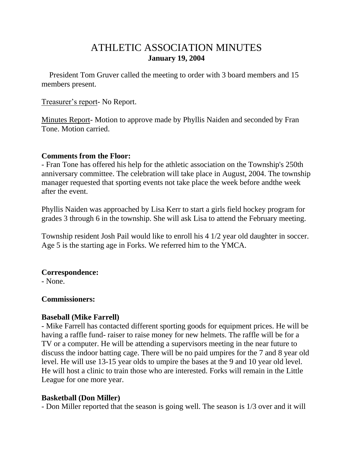# ATHLETIC ASSOCIATION MINUTES **January 19, 2004**

 President Tom Gruver called the meeting to order with 3 board members and 15 members present.

Treasurer's report- No Report.

Minutes Report- Motion to approve made by Phyllis Naiden and seconded by Fran Tone. Motion carried.

### **Comments from the Floor:**

- Fran Tone has offered his help for the athletic association on the Township's 250th anniversary committee. The celebration will take place in August, 2004. The township manager requested that sporting events not take place the week before andthe week after the event.

Phyllis Naiden was approached by Lisa Kerr to start a girls field hockey program for grades 3 through 6 in the township. She will ask Lisa to attend the February meeting.

Township resident Josh Pail would like to enroll his 4 1/2 year old daughter in soccer. Age 5 is the starting age in Forks. We referred him to the YMCA.

# **Correspondence:**

- None.

## **Commissioners:**

# **Baseball (Mike Farrell)**

- Mike Farrell has contacted different sporting goods for equipment prices. He will be having a raffle fund- raiser to raise money for new helmets. The raffle will be for a TV or a computer. He will be attending a supervisors meeting in the near future to discuss the indoor batting cage. There will be no paid umpires for the 7 and 8 year old level. He will use 13-15 year olds to umpire the bases at the 9 and 10 year old level. He will host a clinic to train those who are interested. Forks will remain in the Little League for one more year.

# **Basketball (Don Miller)**

- Don Miller reported that the season is going well. The season is 1/3 over and it will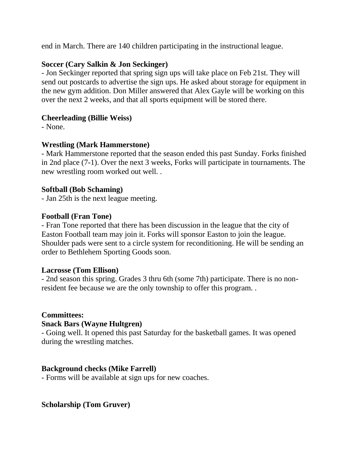end in March. There are 140 children participating in the instructional league.

# **Soccer (Cary Salkin & Jon Seckinger)**

- Jon Seckinger reported that spring sign ups will take place on Feb 21st. They will send out postcards to advertise the sign ups. He asked about storage for equipment in the new gym addition. Don Miller answered that Alex Gayle will be working on this over the next 2 weeks, and that all sports equipment will be stored there.

# **Cheerleading (Billie Weiss)**

- None.

# **Wrestling (Mark Hammerstone)**

- Mark Hammerstone reported that the season ended this past Sunday. Forks finished in 2nd place (7-1). Over the next 3 weeks, Forks will participate in tournaments. The new wrestling room worked out well. .

# **Softball (Bob Schaming)**

- Jan 25th is the next league meeting.

# **Football (Fran Tone)**

- Fran Tone reported that there has been discussion in the league that the city of Easton Football team may join it. Forks will sponsor Easton to join the league. Shoulder pads were sent to a circle system for reconditioning. He will be sending an order to Bethlehem Sporting Goods soon.

## **Lacrosse (Tom Ellison)**

- 2nd season this spring. Grades 3 thru 6th (some 7th) participate. There is no nonresident fee because we are the only township to offer this program. .

# **Committees:**

## **Snack Bars (Wayne Hultgren)**

- Going well. It opened this past Saturday for the basketball games. It was opened during the wrestling matches.

## **Background checks (Mike Farrell)**

- Forms will be available at sign ups for new coaches.

# **Scholarship (Tom Gruver)**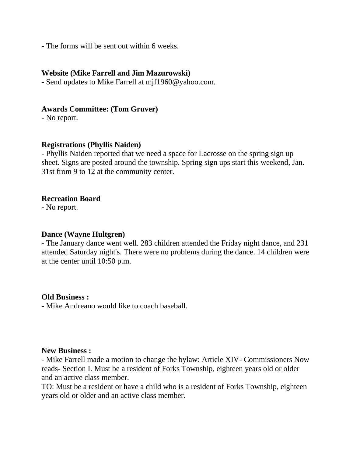- The forms will be sent out within 6 weeks.

#### **Website (Mike Farrell and Jim Mazurowski)**

- Send updates to Mike Farrell at mjf1960@yahoo.com.

### **Awards Committee: (Tom Gruver)**

- No report.

### **Registrations (Phyllis Naiden)**

- Phyllis Naiden reported that we need a space for Lacrosse on the spring sign up sheet. Signs are posted around the township. Spring sign ups start this weekend, Jan. 31st from 9 to 12 at the community center.

### **Recreation Board**

- No report.

#### **Dance (Wayne Hultgren)**

- The January dance went well. 283 children attended the Friday night dance, and 231 attended Saturday night's. There were no problems during the dance. 14 children were at the center until 10:50 p.m.

#### **Old Business :**

- Mike Andreano would like to coach baseball.

#### **New Business :**

- Mike Farrell made a motion to change the bylaw: Article XIV- Commissioners Now reads- Section I. Must be a resident of Forks Township, eighteen years old or older and an active class member.

TO: Must be a resident or have a child who is a resident of Forks Township, eighteen years old or older and an active class member.